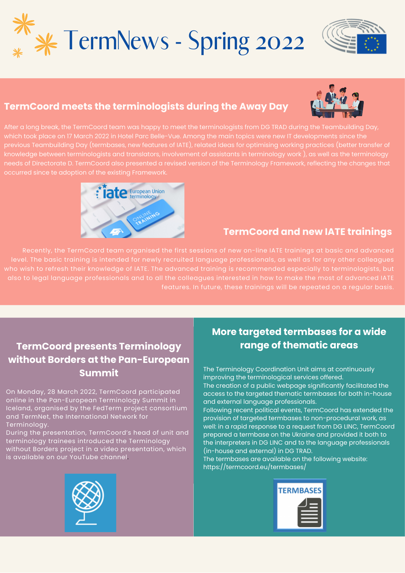





## **TermCoord meets the terminologists during the Away Day**

After a long break, the TermCoord team was happy to meet the terminologists from DG TRAD during the Teambuilding Day, which took place on 17 March 2022 in Hotel Parc Belle-Vue. Among the main topics were new IT developments since the previous Teambuilding Day (termbases, new features of IATE), related ideas for optimising working practices (better transfer of knowledge between terminologists and translators, involvement of assistants in terminology work ), as well as the terminology needs of Directorate D. TermCoord also presented a revised version of the Terminology Framework, reflecting the changes that occurred since te adoption of the existing Framework.



#### **TermCoord and new IATE trainings**

level. The basic training is intended for newly recruited language professionals, as well as for any other colleagues who wish to refresh their knowledge of IATE. The advanced training is recommended especially to terminologists, but also to legal language professionals and to all the colleagues interested in how to make the most of advanced IATE

## **TermCoord presents Terminology without Borders at the Pan-European Summit**

On Monday, 28 March 2022, TermCoord participated online in the Pan-European Terminology Summit in Iceland, organised by the FedTerm project consortium and TermNet, the International Network for Terminology.

During the presentation, TermCoord's head of unit and terminology trainees introduced the Terminology without Borders project in a video presentation, which is available on our YouTube channel.

### **More targeted termbases for a wide range of thematic areas**

The Terminology Coordination Unit aims at continuously improving the terminological services offered.

The creation of a public webpage significantly facilitated the access to the targeted thematic termbases for both in-house and external language professionals.

Following recent political events, TermCoord has extended the provision of targeted termbases to non-procedural work, as well: in a rapid response to a request from DG LINC, TermCoord prepared a termbase on the Ukraine and provided it both to the interpreters in DG LINC and to the language professionals (in-house and external) in DG TRAD.

The termbases are available on the following website: <https://termcoord.eu/termbases/>